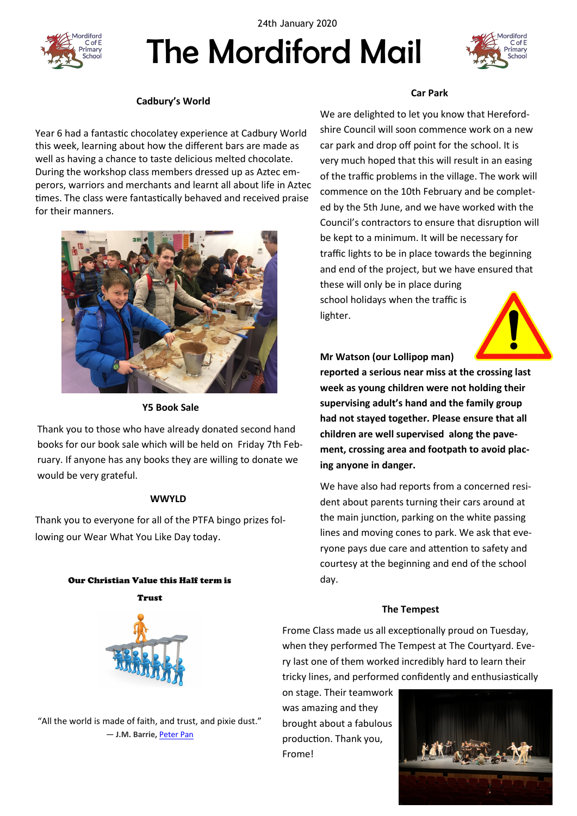



# The Mordiford Mail



#### **Cadbury's World**

Year 6 had a fantastic chocolatey experience at Cadbury World this week, learning about how the different bars are made as well as having a chance to taste delicious melted chocolate. During the workshop class members dressed up as Aztec emperors, warriors and merchants and learnt all about life in Aztec times. The class were fantastically behaved and received praise for their manners.



#### **Y5 Book Sale**

Thank you to those who have already donated second hand books for our book sale which will be held on Friday 7th February. If anyone has any books they are willing to donate we would be very grateful.

#### **WWYLD**

Thank you to everyone for all of the PTFA bingo prizes following our Wear What You Like Day today.

## Our Christian Value this Half term is Trust



"All the world is made of faith, and trust, and pixie dust." ― **J.M. Barrie,** [Peter Pan](https://www.goodreads.com/work/quotes/1358908)

#### **Car Park**

We are delighted to let you know that Herefordshire Council will soon commence work on a new car park and drop off point for the school. It is very much hoped that this will result in an easing of the traffic problems in the village. The work will commence on the 10th February and be completed by the 5th June, and we have worked with the Council's contractors to ensure that disruption will be kept to a minimum. It will be necessary for traffic lights to be in place towards the beginning and end of the project, but we have ensured that these will only be in place during school holidays when the traffic is lighter.



**Mr Watson (our Lollipop man)** 

**reported a serious near miss at the crossing last week as young children were not holding their supervising adult's hand and the family group had not stayed together. Please ensure that all children are well supervised along the pavement, crossing area and footpath to avoid placing anyone in danger.**

We have also had reports from a concerned resident about parents turning their cars around at the main junction, parking on the white passing lines and moving cones to park. We ask that everyone pays due care and attention to safety and courtesy at the beginning and end of the school day.

#### **The Tempest**

Frome Class made us all exceptionally proud on Tuesday, when they performed The Tempest at The Courtyard. Every last one of them worked incredibly hard to learn their tricky lines, and performed confidently and enthusiastically

on stage. Their teamwork was amazing and they brought about a fabulous production. Thank you, Frome!